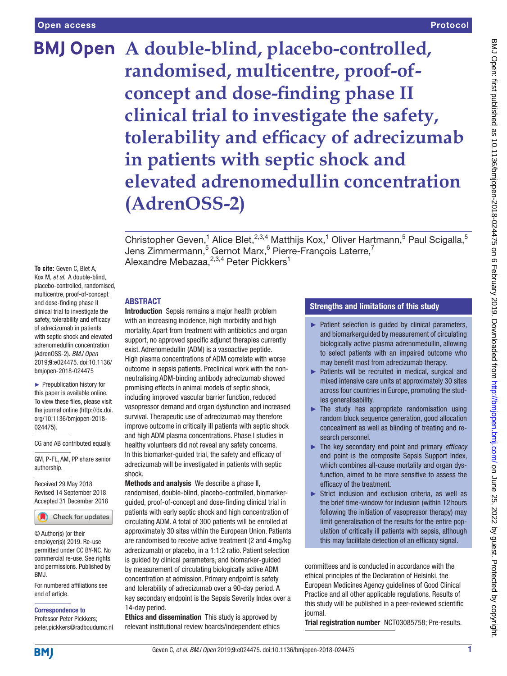# **BMJ Open** A double-blind, placebo-controlled, **randomised, multicentre, proof-ofconcept and dose-finding phase II clinical trial to investigate the safety, tolerability and efficacy of adrecizumab in patients with septic shock and elevated adrenomedullin concentration (AdrenOSS-2)**

Christopher Geven,<sup>1</sup> Alice Blet,<sup>2,3,4</sup> Matthijs Kox,<sup>1</sup> Oliver Hartmann,<sup>5</sup> Paul Scigalla,<sup>5</sup> Jens Zimmermann,<sup>5</sup> Gernot Marx,<sup>6</sup> Pierre-François Laterre,<sup>7</sup> Alexandre Mebazaa, $^{2,3,4}$  Peter Pickkers $^1$ 

**To cite:** Geven C, Blet A, Kox M, *et al*. A double-blind, placebo-controlled, randomised, multicentre, proof-of-concept and dose-finding phase II clinical trial to investigate the safety, tolerability and efficacy of adrecizumab in patients with septic shock and elevated adrenomedullin concentration (AdrenOSS-2). *BMJ Open* 2019;9:e024475. doi:10.1136/ bmjopen-2018-024475

► Prepublication history for this paper is available online. To view these files, please visit the journal online [\(http://dx.doi.](http://dx.doi.org/10.1136/bmjopen-2018-024475) [org/10.1136/bmjopen-2018-](http://dx.doi.org/10.1136/bmjopen-2018-024475) [024475\)](http://dx.doi.org/10.1136/bmjopen-2018-024475).

CG and AB contributed equally.

GM, P-FL, AM, PP share senior authorship.

Received 29 May 2018 Revised 14 September 2018 Accepted 31 December 2018



© Author(s) (or their employer(s)) 2019. Re-use permitted under CC BY-NC. No commercial re-use. See rights and permissions. Published by BMJ.

For numbered affiliations see end of article.

Correspondence to

Professor Peter Pickkers; peter.pickkers@radboudumc.nl

# **ABSTRACT**

Introduction Sepsis remains a major health problem with an increasing incidence, high morbidity and high mortality. Apart from treatment with antibiotics and organ support, no approved specific adjunct therapies currently exist. Adrenomedullin (ADM) is a vasoactive peptide. High plasma concentrations of ADM correlate with worse outcome in sepsis patients. Preclinical work with the nonneutralising ADM-binding antibody adrecizumab showed promising effects in animal models of septic shock, including improved vascular barrier function, reduced vasopressor demand and organ dysfunction and increased survival. Therapeutic use of adrecizumab may therefore improve outcome in critically ill patients with septic shock and high ADM plasma concentrations. Phase I studies in healthy volunteers did not reveal any safety concerns. In this biomarker-guided trial, the safety and efficacy of adrecizumab will be investigated in patients with septic shock.

Methods and analysis We describe a phase II, randomised, double-blind, placebo-controlled, biomarkerguided, proof-of-concept and dose-finding clinical trial in patients with early septic shock and high concentration of circulating ADM. A total of 300 patients will be enrolled at approximately 30 sites within the European Union. Patients are randomised to receive active treatment (2 and 4mg/kg adrecizumab) or placebo, in a 1:1:2 ratio. Patient selection is guided by clinical parameters, and biomarker-guided by measurement of circulating biologically active ADM concentration at admission. Primary endpoint is safety and tolerability of adrecizumab over a 90-day period. A key secondary endpoint is the Sepsis Severity Index over a 14-day period.

Ethics and dissemination This study is approved by relevant institutional review boards/independent ethics

# Strengths and limitations of this study

- <span id="page-0-0"></span>► Patient selection is guided by clinical parameters, and biomarkerguided by measurement of circulating biologically active plasma adrenomedullin, allowing to select patients with an impaired outcome who may benefit most from adrecizumab therapy.
- ► Patients will be recruited in medical, surgical and mixed intensive care units at approximately 30 sites across four countries in Europe, promoting the studies generalisability.
- $\blacktriangleright$  The study has appropriate randomisation using random block sequence generation, good allocation concealment as well as blinding of treating and research personnel.
- ► The key secondary end point and primary *efficacy* end point is the composite Sepsis Support Index, which combines all-cause mortality and organ dysfunction, aimed to be more sensitive to assess the efficacy of the treatment.
- ► Strict inclusion and exclusion criteria, as well as the brief time-window for inclusion (within 12 hours following the initiation of vasopressor therapy) may limit generalisation of the results for the entire population of critically ill patients with sepsis, although this may facilitate detection of an efficacy signal.

committees and is conducted in accordance with the ethical principles of the Declaration of Helsinki, the European Medicines Agency guidelines of Good Clinical Practice and all other applicable regulations. Results of this study will be published in a peer-reviewed scientific journal.

Trial registration number [NCT03085758;](NCT03085758) Pre-results.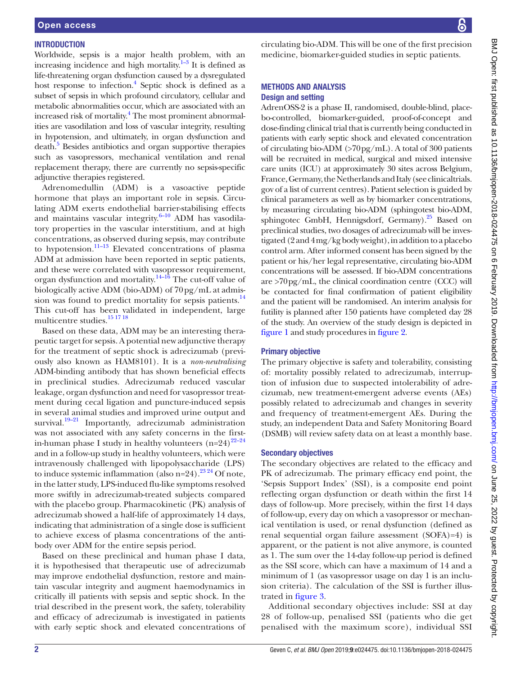#### **INTRODUCTION**

Worldwide, sepsis is a major health problem, with an increasing incidence and high mortality. $1-3$  It is defined as life-threatening organ dysfunction caused by a dysregulated host response to infection.<sup>4</sup> Septic shock is defined as a subset of sepsis in which profound circulatory, cellular and metabolic abnormalities occur, which are associated with an increased risk of mortality.<sup>4</sup> The most prominent abnormalities are vasodilation and loss of vascular integrity, resulting in hypotension, and ultimately, in organ dysfunction and death.<sup>[5](#page-10-1)</sup> Besides antibiotics and organ supportive therapies such as vasopressors, mechanical ventilation and renal replacement therapy, there are currently no sepsis-specific adjunctive therapies registered.

Adrenomedullin (ADM) is a vasoactive peptide hormone that plays an important role in sepsis. Circulating ADM exerts endothelial barrier-stabilising effects and maintains vascular integrity. $6-10$  ADM has vasodilatory properties in the vascular interstitium, and at high concentrations, as observed during sepsis, may contribute to hypotension.<sup>11–13</sup> Elevated concentrations of plasma ADM at admission have been reported in septic patients, and these were correlated with vasopressor requirement, organ dysfunction and mortality.<sup>14–16</sup> The cut-off value of biologically active ADM (bio-ADM) of 70pg/mL at admission was found to predict mortality for sepsis patients. $14$ This cut-off has been validated in independent, large multicentre studies.<sup>[15 17 18](#page-10-5)</sup>

Based on these data, ADM may be an interesting therapeutic target for sepsis. A potential new adjunctive therapy for the treatment of septic shock is adrecizumab (previously also known as HAM8101). It is a *non-neutralising* ADM-binding antibody that has shown beneficial effects in preclinical studies. Adrecizumab reduced vascular leakage, organ dysfunction and need for vasopressor treatment during cecal ligation and puncture-induced sepsis in several animal studies and improved urine output and survival. $19-21$  Importantly, adrecizumab administration was not associated with any safety concerns in the firstin-human phase I study in healthy volunteers  $(n=24)^{22-24}$ and in a follow-up study in healthy volunteers, which were intravenously challenged with lipopolysaccharide (LPS) to induce systemic inflammation (also  $n=24$ ).<sup>2324</sup> Of note, in the latter study, LPS-induced flu-like symptoms resolved more swiftly in adrecizumab-treated subjects compared with the placebo group. Pharmacokinetic (PK) analysis of adrecizumab showed a half-life of approximately 14 days, indicating that administration of a single dose is sufficient to achieve excess of plasma concentrations of the antibody over ADM for the entire sepsis period.

Based on these preclinical and human phase I data, it is hypothesised that therapeutic use of adrecizumab may improve endothelial dysfunction, restore and maintain vascular integrity and augment haemodynamics in critically ill patients with sepsis and septic shock. In the trial described in the present work, the safety, tolerability and efficacy of adrecizumab is investigated in patients with early septic shock and elevated concentrations of circulating bio-ADM. This will be one of the first precision medicine, biomarker-guided studies in septic patients.

### Methods and analysis Design and setting

AdrenOSS-2 is a phase II, randomised, double-blind, placebo-controlled, biomarker-guided, proof-of-concept and dose-finding clinical trial that is currently being conducted in patients with early septic shock and elevated concentration of circulating bio-ADM (>70pg/mL). A total of 300 patients will be recruited in medical, surgical and mixed intensive care units (ICU) at approximately 30 sites across Belgium, France, Germany, the Netherlands and Italy (see clinicaltrials. gov of a list of current centres). Patient selection is guided by clinical parameters as well as by biomarker concentrations, by measuring circulating bio-ADM (sphingotest bio-ADM, sphingotec GmbH, Hennigsdorf, Germany).<sup>25</sup> Based on preclinical studies, two dosages of adrecizumab will be investigated (2 and 4mg/kg body weight), in addition to a placebo control arm. After informed consent has been signed by the patient or his/her legal representative, circulating bio-ADM concentrations will be assessed. If bio-ADM concentrations are  $>70$  pg/mL, the clinical coordination centre (CCC) will be contacted for final confirmation of patient eligibility and the patient will be randomised. An interim analysis for futility is planned after 150 patients have completed day 28 of the study. An overview of the study design is depicted in [figure](#page-2-0) 1 and study procedures in [figure](#page-3-0) 2.

# Primary objective

The primary objective is safety and tolerability, consisting of: mortality possibly related to adrecizumab, interruption of infusion due to suspected intolerability of adrecizumab, new treatment-emergent adverse events (AEs) possibly related to adrecizumab and changes in severity and frequency of treatment-emergent AEs. During the study, an independent Data and Safety Monitoring Board (DSMB) will review safety data on at least a monthly base.

#### Secondary objectives

The secondary objectives are related to the efficacy and PK of adrecizumab. The primary efficacy end point, the 'Sepsis Support Index' (SSI), is a composite end point reflecting organ dysfunction or death within the first 14 days of follow-up. More precisely, within the first 14 days of follow-up, every day on which a vasopressor or mechanical ventilation is used, or renal dysfunction (defined as renal sequential organ failure assessment (SOFA)=4) is apparent, or the patient is not alive anymore, is counted as 1. The sum over the 14-day follow-up period is defined as the SSI score, which can have a maximum of 14 and a minimum of 1 (as vasopressor usage on day 1 is an inclusion criteria). The calculation of the SSI is further illustrated in [figure](#page-3-1) 3.

Additional secondary objectives include: SSI at day 28 of follow-up, penalised SSI (patients who die get penalised with the maximum score), individual SSI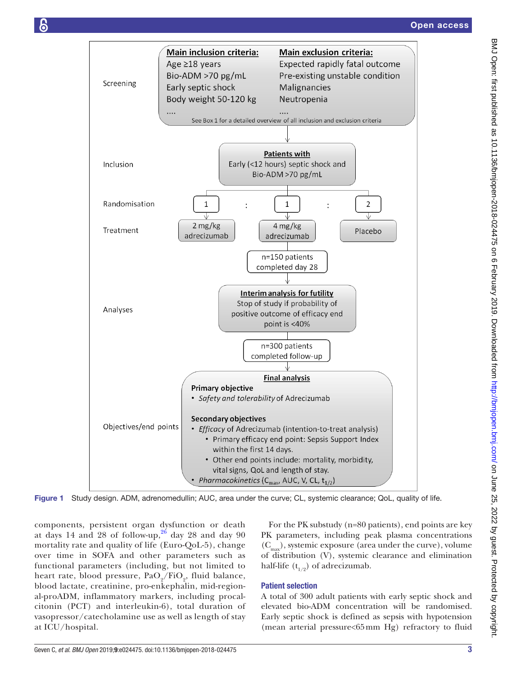

<span id="page-2-0"></span>Figure 1 Study design. ADM, adrenomedullin; AUC, area under the curve; CL, systemic clearance; QoL, quality of life.

components, persistent organ dysfunction or death at days 14 and 28 of follow-up,  $26$  day 28 and day 90 mortality rate and quality of life (Euro-QoL-5), change over time in SOFA and other parameters such as functional parameters (including, but not limited to heart rate, blood pressure,  $PaO_2/FiO_2$ , fluid balance, blood lactate, creatinine, pro-enkephalin, mid-regional-proADM, inflammatory markers, including procalcitonin (PCT) and interleukin-6), total duration of vasopressor/catecholamine use as well as length of stay at ICU/hospital.

For the PK substudy (n=80 patients), end points are key PK parameters, including peak plasma concentrations  $(C<sub>max</sub>)$ , systemic exposure (area under the curve), volume of distribution (V), systemic clearance and elimination half-life  $(t_{1/2})$  of adrecizumab.

# Patient selection

A total of 300 adult patients with early septic shock and elevated bio-ADM concentration will be randomised. Early septic shock is defined as sepsis with hypotension (mean arterial pressure<65mm Hg) refractory to fluid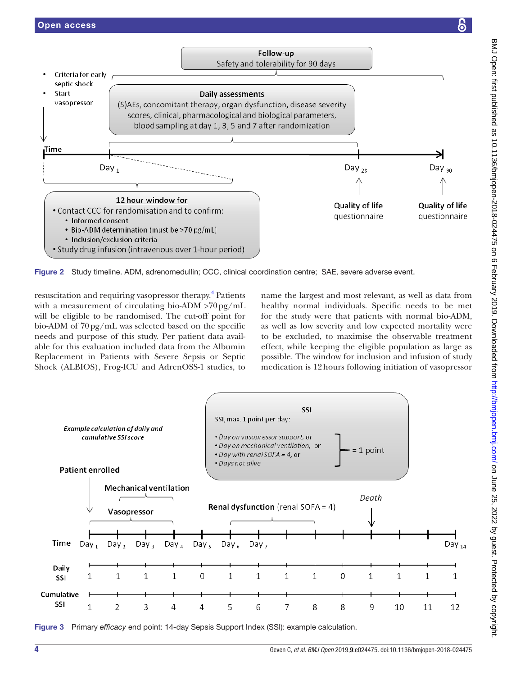

<span id="page-3-0"></span>Figure 2 Study timeline. ADM, adrenomedullin; CCC, clinical coordination centre; SAE, severe adverse event.

resuscitation and requiring vasopressor therapy.<sup>4</sup> Patients with a measurement of circulating bio-ADM >70pg/mL will be eligible to be randomised. The cut-off point for bio-ADM of 70pg/mL was selected based on the specific needs and purpose of this study. Per patient data available for this evaluation included data from the Albumin Replacement in Patients with Severe Sepsis or Septic Shock (ALBIOS), Frog-ICU and AdrenOSS-1 studies, to

name the largest and most relevant, as well as data from healthy normal individuals. Specific needs to be met for the study were that patients with normal bio-ADM, as well as low severity and low expected mortality were to be excluded, to maximise the observable treatment effect, while keeping the eligible population as large as possible. The window for inclusion and infusion of study medication is 12hours following initiation of vasopressor



<span id="page-3-1"></span>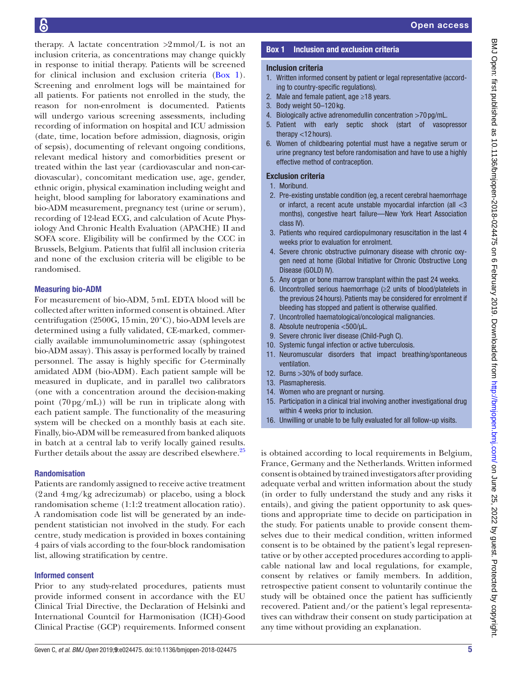therapy. A lactate concentration  $>2$ mmol/L is not an inclusion criteria, as concentrations may change quickly in response to initial therapy. Patients will be screened for clinical inclusion and exclusion criteria [\(Box](#page-0-0) 1). Screening and enrolment logs will be maintained for all patients. For patients not enrolled in the study, the reason for non-enrolment is documented. Patients will undergo various screening assessments, including recording of information on hospital and ICU admission (date, time, location before admission, diagnosis, origin of sepsis), documenting of relevant ongoing conditions, relevant medical history and comorbidities present or treated within the last year (cardiovascular and non-cardiovascular), concomitant medication use, age, gender, ethnic origin, physical examination including weight and height, blood sampling for laboratory examinations and bio-ADM measurement, pregnancy test (urine or serum), recording of 12-lead ECG, and calculation of Acute Physiology And Chronic Health Evaluation (APACHE) II and SOFA score. Eligibility will be confirmed by the CCC in Brussels, Belgium. Patients that fulfil all inclusion criteria and none of the exclusion criteria will be eligible to be randomised.

# Measuring bio-ADM

For measurement of bio-ADM, 5mL EDTA blood will be collected after written informed consent is obtained. After centrifugation (2500G, 15min, 20°C), bio-ADM levels are determined using a fully validated, CE-marked, commercially available immunoluminometric assay (sphingotest bio-ADM assay). This assay is performed locally by trained personnel. The assay is highly specific for C-terminally amidated ADM (bio-ADM). Each patient sample will be measured in duplicate, and in parallel two calibrators (one with a concentration around the decision-making point  $(70 \text{ pg/mL})$  will be run in triplicate along with each patient sample. The functionality of the measuring system will be checked on a monthly basis at each site. Finally, bio-ADM will be remeasured from banked aliquots in batch at a central lab to verify locally gained results. Further details about the assay are described elsewhere.<sup>[25](#page-10-9)</sup>

# Randomisation

Patients are randomly assigned to receive active treatment (2and 4mg/kg adrecizumab) or placebo, using a block randomisation scheme (1:1:2 treatment allocation ratio). A randomisation code list will be generated by an independent statistician not involved in the study. For each centre, study medication is provided in boxes containing 4 pairs of vials according to the four-block randomisation list, allowing stratification by centre.

# Informed consent

Prior to any study-related procedures, patients must provide informed consent in accordance with the EU Clinical Trial Directive, the Declaration of Helsinki and International Countcil for Harmonisation (ICH)-Good Clinical Practise (GCP) requirements. Informed consent

# Open access

# Inclusion criteria

- 1. Written informed consent by patient or legal representative (according to country-specific regulations).
- 2. Male and female patient, age ≥18 years.
- 3. Body weight 50–120 kg.
- 4. Biologically active adrenomedullin concentration >70 pg/mL.
- 5. Patient with early septic shock (start of vasopressor therapy <12 hours).
- 6. Women of childbearing potential must have a negative serum or urine pregnancy test before randomisation and have to use a highly effective method of contraception.

# Exclusion criteria

- 1. Moribund.
- 2. Pre-existing unstable condition (eg, a recent cerebral haemorrhage or infarct, a recent acute unstable myocardial infarction (all <3 months), congestive heart failure—New York Heart Association class IV).
- 3. Patients who required cardiopulmonary resuscitation in the last 4 weeks prior to evaluation for enrolment.
- 4. Severe chronic obstructive pulmonary disease with chronic oxygen need at home (Global Initiative for Chronic Obstructive Long Disease (GOLD) IV).
- 5. Any organ or bone marrow transplant within the past 24 weeks.
- 6. Uncontrolled serious haemorrhage (≥2 units of blood/platelets in the previous 24 hours). Patients may be considered for enrolment if bleeding has stopped and patient is otherwise qualified.
- 7. Uncontrolled haematological/oncological malignancies.
- 8. Absolute neutropenia <500/µL.
- 9. Severe chronic liver disease (Child-Pugh C).
- 10. Systemic fungal infection or active tuberculosis.
- 11. Neuromuscular disorders that impact breathing/spontaneous ventilation.
- 12. Burns >30% of body surface.
- 13. Plasmapheresis.
- 14. Women who are pregnant or nursing.
- 15. Participation in a clinical trial involving another investigational drug within 4 weeks prior to inclusion.
- 16. Unwilling or unable to be fully evaluated for all follow-up visits.

is obtained according to local requirements in Belgium, France, Germany and the Netherlands. Written informed consent is obtained by trained investigators after providing adequate verbal and written information about the study (in order to fully understand the study and any risks it entails), and giving the patient opportunity to ask questions and appropriate time to decide on participation in the study. For patients unable to provide consent themselves due to their medical condition, written informed consent is to be obtained by the patient's legal representative or by other accepted procedures according to applicable national law and local regulations, for example, consent by relatives or family members. In addition, retrospective patient consent to voluntarily continue the study will be obtained once the patient has sufficiently recovered. Patient and/or the patient's legal representatives can withdraw their consent on study participation at any time without providing an explanation.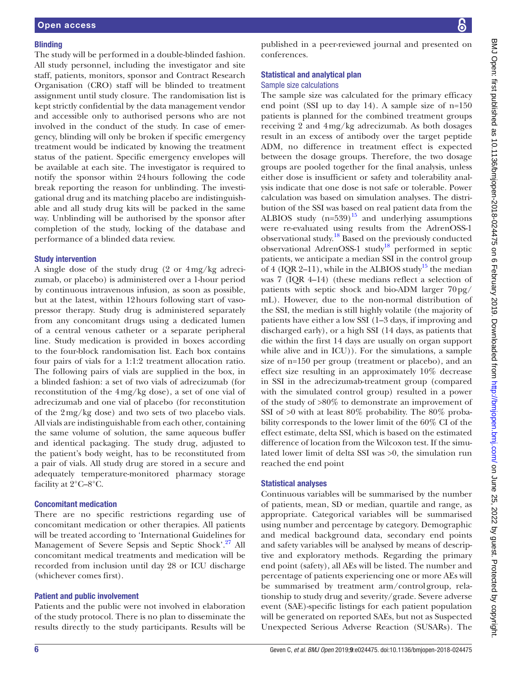#### **Blinding**

The study will be performed in a double-blinded fashion. All study personnel, including the investigator and site staff, patients, monitors, sponsor and Contract Research Organisation (CRO) staff will be blinded to treatment assignment until study closure. The randomisation list is kept strictly confidential by the data management vendor and accessible only to authorised persons who are not involved in the conduct of the study. In case of emergency, blinding will only be broken if specific emergency treatment would be indicated by knowing the treatment status of the patient. Specific emergency envelopes will be available at each site. The investigator is required to notify the sponsor within 24hours following the code break reporting the reason for unblinding. The investigational drug and its matching placebo are indistinguishable and all study drug kits will be packed in the same way. Unblinding will be authorised by the sponsor after completion of the study, locking of the database and performance of a blinded data review.

#### Study intervention

A single dose of the study drug (2 or 4mg/kg adrecizumab, or placebo) is administered over a 1-hour period by continuous intravenous infusion, as soon as possible, but at the latest, within 12hours following start of vasopressor therapy. Study drug is administered separately from any concomitant drugs using a dedicated lumen of a central venous catheter or a separate peripheral line. Study medication is provided in boxes according to the four-block randomisation list. Each box contains four pairs of vials for a 1:1:2 treatment allocation ratio. The following pairs of vials are supplied in the box, in a blinded fashion: a set of two vials of adrecizumab (for reconstitution of the 4mg/kg dose), a set of one vial of adrecizumab and one vial of placebo (for reconstitution of the 2mg/kg dose) and two sets of two placebo vials. All vials are indistinguishable from each other, containing the same volume of solution, the same aqueous buffer and identical packaging. The study drug, adjusted to the patient's body weight, has to be reconstituted from a pair of vials. All study drug are stored in a secure and adequately temperature-monitored pharmacy storage facility at 2°C–8°C.

#### Concomitant medication

There are no specific restrictions regarding use of concomitant medication or other therapies. All patients will be treated according to 'International Guidelines for Management of Severe Sepsis and Septic Shock'.[27](#page-10-11) All concomitant medical treatments and medication will be recorded from inclusion until day 28 or ICU discharge (whichever comes first).

# Patient and public involvement

Patients and the public were not involved in elaboration of the study protocol. There is no plan to disseminate the results directly to the study participants. Results will be

published in a peer-reviewed journal and presented on conferences.

#### Statistical and analytical plan Sample size calculations

The sample size was calculated for the primary efficacy end point (SSI up to day 14). A sample size of n=150 patients is planned for the combined treatment groups receiving 2 and 4mg/kg adrecizumab. As both dosages result in an excess of antibody over the target peptide ADM, no difference in treatment effect is expected between the dosage groups. Therefore, the two dosage groups are pooled together for the final analysis, unless either dose is insufficient or safety and tolerability analysis indicate that one dose is not safe or tolerable. Power calculation was based on simulation analyses. The distribution of the SSI was based on real patient data from the ALBIOS study  $(n=539)^{15}$  and underlying assumptions were re-evaluated using results from the AdrenOSS-1 observational study[.18](#page-10-12) Based on the previously conducted observational AdrenOSS-1 study<sup>18</sup> performed in septic patients, we anticipate a median SSI in the control group of 4 (IQR 2–11), while in the ALBIOS study<sup>15</sup> the median was 7 (IQR 4–14) (these medians reflect a selection of patients with septic shock and bio-ADM larger 70pg/ mL). However, due to the non-normal distribution of the SSI, the median is still highly volatile (the majority of patients have either a low SSI (1–3 days, if improving and discharged early), or a high SSI (14 days, as patients that die within the first 14 days are usually on organ support while alive and in ICU)). For the simulations, a sample size of n=150 per group (treatment or placebo), and an effect size resulting in an approximately 10% decrease in SSI in the adrecizumab-treatment group (compared with the simulated control group) resulted in a power of the study of >80% to demonstrate an improvement of SSI of >0 with at least 80% probability. The 80% probability corresponds to the lower limit of the 60% CI of the effect estimate, delta SSI, which is based on the estimated difference of location from the Wilcoxon test. If the simulated lower limit of delta SSI was >0, the simulation run reached the end point

#### Statistical analyses

Continuous variables will be summarised by the number of patients, mean, SD or median, quartile and range, as appropriate. Categorical variables will be summarised using number and percentage by category. Demographic and medical background data, secondary end points and safety variables will be analysed by means of descriptive and exploratory methods. Regarding the primary end point (safety), all AEs will be listed. The number and percentage of patients experiencing one or more AEs will be summarised by treatment arm/controlgroup, relationship to study drug and severity/grade. Severe adverse event (SAE)-specific listings for each patient population will be generated on reported SAEs, but not as Suspected Unexpected Serious Adverse Reaction (SUSARs). The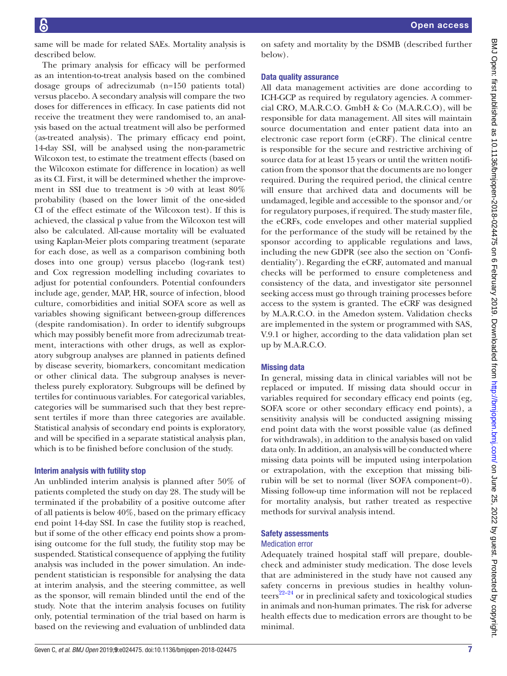BMJ Open: first published as 10.1136/bmjopen-2018-024475 on 6 February 2019. Downloaded from http://bmjopen.bmj.com/ on June 25, 2022 by guest. Protected by copyright. BMJ Open: first published as 10.1136/bmjopen-2018-024475 on 6 February 2019. Downloaded trom <http://bmjopen.bmj.com/> BMJ On June 25, 2022 by guest. Protected by copyright.

same will be made for related SAEs. Mortality analysis is described below.

The primary analysis for efficacy will be performed as an intention-to-treat analysis based on the combined dosage groups of adrecizumab (n=150 patients total) versus placebo. A secondary analysis will compare the two doses for differences in efficacy. In case patients did not receive the treatment they were randomised to, an analysis based on the actual treatment will also be performed (as-treated analysis). The primary efficacy end point, 14-day SSI, will be analysed using the non-parametric Wilcoxon test, to estimate the treatment effects (based on the Wilcoxon estimate for difference in location) as well as its CI. First, it will be determined whether the improvement in SSI due to treatment is >0 with at least 80% probability (based on the lower limit of the one-sided CI of the effect estimate of the Wilcoxon test). If this is achieved, the classical p value from the Wilcoxon test will also be calculated. All-cause mortality will be evaluated using Kaplan-Meier plots comparing treatment (separate for each dose, as well as a comparison combining both doses into one group) versus placebo (log-rank test) and Cox regression modelling including covariates to adjust for potential confounders. Potential confounders include age, gender, MAP, HR, source of infection, blood culture, comorbidities and initial SOFA score as well as variables showing significant between-group differences (despite randomisation). In order to identify subgroups which may possibly benefit more from adrecizumab treatment, interactions with other drugs, as well as exploratory subgroup analyses are planned in patients defined by disease severity, biomarkers, concomitant medication or other clinical data. The subgroup analyses is nevertheless purely exploratory. Subgroups will be defined by tertiles for continuous variables. For categorical variables, categories will be summarised such that they best represent tertiles if more than three categories are available. Statistical analysis of secondary end points is exploratory, and will be specified in a separate statistical analysis plan, which is to be finished before conclusion of the study.

#### Interim analysis with futility stop

An unblinded interim analysis is planned after 50% of patients completed the study on day 28. The study will be terminated if the probability of a positive outcome after of all patients is below 40%, based on the primary efficacy end point 14-day SSI. In case the futility stop is reached, but if some of the other efficacy end points show a promising outcome for the full study, the futility stop may be suspended. Statistical consequence of applying the futility analysis was included in the power simulation. An independent statistician is responsible for analysing the data at interim analysis, and the steering committee, as well as the sponsor, will remain blinded until the end of the study. Note that the interim analysis focuses on futility only, potential termination of the trial based on harm is based on the reviewing and evaluation of unblinded data

on safety and mortality by the DSMB (described further below).

### Data quality assurance

All data management activities are done according to ICH-GCP as required by regulatory agencies. A commercial CRO, M.A.R.C.O. GmbH & Co (M.A.R.C.O), will be responsible for data management. All sites will maintain source documentation and enter patient data into an electronic case report form (eCRF). The clinical centre is responsible for the secure and restrictive archiving of source data for at least 15 years or until the written notification from the sponsor that the documents are no longer required. During the required period, the clinical centre will ensure that archived data and documents will be undamaged, legible and accessible to the sponsor and/or for regulatory purposes, if required. The study master file, the eCRFs, code envelopes and other material supplied for the performance of the study will be retained by the sponsor according to applicable regulations and laws, including the new GDPR (see also the section on 'Confidentiality'). Regarding the eCRF, automated and manual checks will be performed to ensure completeness and consistency of the data, and investigator site personnel seeking access must go through training processes before access to the system is granted. The eCRF was designed by M.A.R.C.O. in the Amedon system. Validation checks are implemented in the system or programmed with SAS, V.9.1 or higher, according to the data validation plan set up by M.A.R.C.O.

# Missing data

In general, missing data in clinical variables will not be replaced or imputed. If missing data should occur in variables required for secondary efficacy end points (eg, SOFA score or other secondary efficacy end points), a sensitivity analysis will be conducted assigning missing end point data with the worst possible value (as defined for withdrawals), in addition to the analysis based on valid data only. In addition, an analysis will be conducted where missing data points will be imputed using interpolation or extrapolation, with the exception that missing bilirubin will be set to normal (liver SOFA component=0). Missing follow-up time information will not be replaced for mortality analysis, but rather treated as respective methods for survival analysis intend.

# Safety assessments

#### Medication error

Adequately trained hospital staff will prepare, doublecheck and administer study medication. The dose levels that are administered in the study have not caused any safety concerns in previous studies in healthy volun $t$ eers<sup>22–24</sup> or in preclinical safety and toxicological studies in animals and non-human primates. The risk for adverse health effects due to medication errors are thought to be minimal.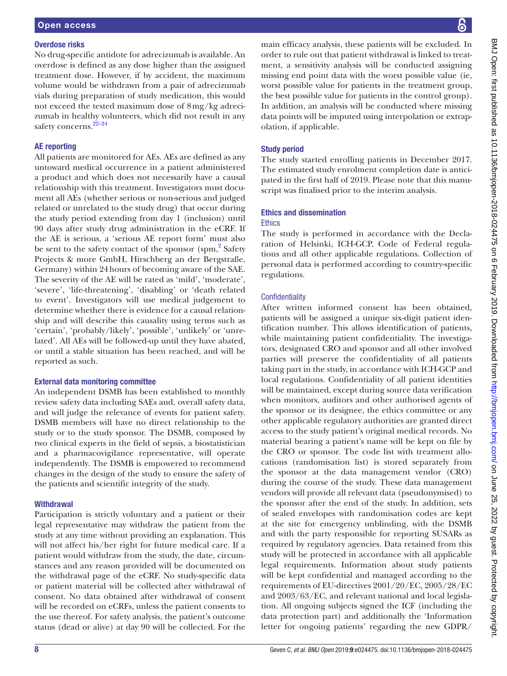#### Overdose risks

No drug-specific antidote for adrecizumab is available. An overdose is defined as any dose higher than the assigned treatment dose. However, if by accident, the maximum volume would be withdrawn from a pair of adrecizumab vials during preparation of study medication, this would not exceed the tested maximum dose of 8mg/kg adrecizumab in healthy volunteers, which did not result in any safety concerns.<sup>22-24</sup>

#### AE reporting

All patients are monitored for AEs. AEs are defined as any untoward medical occurrence in a patient administered a product and which does not necessarily have a causal relationship with this treatment. Investigators must document all AEs (whether serious or non-serious and judged related or unrelated to the study drug) that occur during the study period extending from day 1 (inclusion) until 90 days after study drug administration in the eCRF. If the AE is serious, a 'serious AE report form' must also be sent to the safety contact of the sponsor (spm,<sup>[2](#page-9-1)</sup> Safety Projects & more GmbH, Hirschberg an der Bergstraße, Germany) within 24hours of becoming aware of the SAE. The severity of the AE will be rated as 'mild', 'moderate', 'severe', 'life-threatening', 'disabling' or 'death related to event'. Investigators will use medical judgement to determine whether there is evidence for a causal relationship and will describe this causality using terms such as 'certain', 'probably/likely', 'possible', 'unlikely' or 'unrelated'. All AEs will be followed-up until they have abated, or until a stable situation has been reached, and will be reported as such.

# External data monitoring committee

An independent DSMB has been established to monthly review safety data including SAEs and, overall safety data, and will judge the relevance of events for patient safety. DSMB members will have no direct relationship to the study or to the study sponsor. The DSMB, composed by two clinical experts in the field of sepsis, a biostatistician and a pharmacovigilance representative, will operate independently. The DSMB is empowered to recommend changes in the design of the study to ensure the safety of the patients and scientific integrity of the study.

# **Withdrawal**

Participation is strictly voluntary and a patient or their legal representative may withdraw the patient from the study at any time without providing an explanation. This will not affect his/her right for future medical care. If a patient would withdraw from the study, the date, circumstances and any reason provided will be documented on the withdrawal page of the eCRF. No study-specific data or patient material will be collected after withdrawal of consent. No data obtained after withdrawal of consent will be recorded on eCRFs, unless the patient consents to the use thereof. For safety analysis, the patient's outcome status (dead or alive) at day 90 will be collected. For the

main efficacy analysis, these patients will be excluded. In order to rule out that patient withdrawal is linked to treatment, a sensitivity analysis will be conducted assigning missing end point data with the worst possible value (ie, worst possible value for patients in the treatment group, the best possible value for patients in the control group). In addition, an analysis will be conducted where missing data points will be imputed using interpolation or extrapolation, if applicable.

# Study period

The study started enrolling patients in December 2017. The estimated study enrolment completion date is anticipated in the first half of 2019. Please note that this manuscript was finalised prior to the interim analysis.

# Ethics and dissemination

# **Ethics**

The study is performed in accordance with the Declaration of Helsinki, ICH-GCP, Code of Federal regulations and all other applicable regulations. Collection of personal data is performed according to country-specific regulations.

# **Confidentiality**

After written informed consent has been obtained, patients will be assigned a unique six-digit patient identification number. This allows identification of patients, while maintaining patient confidentiality. The investigators, designated CRO and sponsor and all other involved parties will preserve the confidentiality of all patients taking part in the study, in accordance with ICH-GCP and local regulations. Confidentiality of all patient identities will be maintained, except during source data verification when monitors, auditors and other authorised agents of the sponsor or its designee, the ethics committee or any other applicable regulatory authorities are granted direct access to the study patient's original medical records. No material bearing a patient's name will be kept on file by the CRO or sponsor. The code list with treatment allocations (randomisation list) is stored separately from the sponsor at the data management vendor (CRO) during the course of the study. These data management vendors will provide all relevant data (pseudonymised) to the sponsor after the end of the study. In addition, sets of sealed envelopes with randomisation codes are kept at the site for emergency unblinding, with the DSMB and with the party responsible for reporting SUSARs as required by regulatory agencies. Data retained from this study will be protected in accordance with all applicable legal requirements. Information about study patients will be kept confidential and managed according to the requirements of EU-directives 2001/20/EC, 2005/28/EC and 2003/63/EC, and relevant national and local legislation. All ongoing subjects signed the ICF (including the data protection part) and additionally the 'Information letter for ongoing patients' regarding the new GDPR/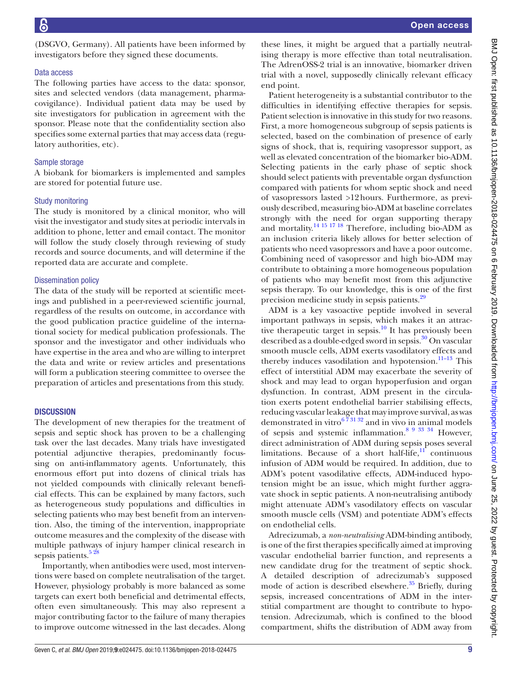(DSGVO, Germany). All patients have been informed by investigators before they signed these documents.

#### Data access

The following parties have access to the data: sponsor, sites and selected vendors (data management, pharmacovigilance). Individual patient data may be used by site investigators for publication in agreement with the sponsor. Please note that the confidentiality section also specifies some external parties that may access data (regulatory authorities, etc).

### Sample storage

A biobank for biomarkers is implemented and samples are stored for potential future use.

#### Study monitoring

The study is monitored by a clinical monitor, who will visit the investigator and study sites at periodic intervals in addition to phone, letter and email contact. The monitor will follow the study closely through reviewing of study records and source documents, and will determine if the reported data are accurate and complete.

#### Dissemination policy

The data of the study will be reported at scientific meetings and published in a peer-reviewed scientific journal, regardless of the results on outcome, in accordance with the good publication practice guideline of the international society for medical publication professionals. The sponsor and the investigator and other individuals who have expertise in the area and who are willing to interpret the data and write or review articles and presentations will form a publication steering committee to oversee the preparation of articles and presentations from this study.

#### **DISCUSSION**

The development of new therapies for the treatment of sepsis and septic shock has proven to be a challenging task over the last decades. Many trials have investigated potential adjunctive therapies, predominantly focussing on anti-inflammatory agents. Unfortunately, this enormous effort put into dozens of clinical trials has not yielded compounds with clinically relevant beneficial effects. This can be explained by many factors, such as heterogeneous study populations and difficulties in selecting patients who may best benefit from an intervention. Also, the timing of the intervention, inappropriate outcome measures and the complexity of the disease with multiple pathways of injury hamper clinical research in sepsis patients.<sup>528</sup>

Importantly, when antibodies were used, most interventions were based on complete neutralisation of the target. However, physiology probably is more balanced as some targets can exert both beneficial and detrimental effects, often even simultaneously. This may also represent a major contributing factor to the failure of many therapies to improve outcome witnessed in the last decades. Along

these lines, it might be argued that a partially neutralising therapy is more effective than total neutralisation. The AdrenOSS-2 trial is an innovative, biomarker driven trial with a novel, supposedly clinically relevant efficacy end point.

Patient heterogeneity is a substantial contributor to the difficulties in identifying effective therapies for sepsis. Patient selection is innovative in this study for two reasons. First, a more homogeneous subgroup of sepsis patients is selected, based on the combination of presence of early signs of shock, that is, requiring vasopressor support, as well as elevated concentration of the biomarker bio-ADM. Selecting patients in the early phase of septic shock should select patients with preventable organ dysfunction compared with patients for whom septic shock and need of vasopressors lasted >12hours. Furthermore, as previously described, measuring bio-ADM at baseline correlates strongly with the need for organ supporting therapy and mortality.<sup>14 15 17 18</sup> Therefore, including bio-ADM as an inclusion criteria likely allows for better selection of patients who need vasopressors and have a poor outcome. Combining need of vasopressor and high bio-ADM may contribute to obtaining a more homogeneous population of patients who may benefit most from this adjunctive sepsis therapy. To our knowledge, this is one of the first precision medicine study in sepsis patients[.29](#page-10-13)

ADM is a key vasoactive peptide involved in several important pathways in sepsis, which makes it an attractive therapeutic target in sepsis.<sup>10</sup> It has previously been described as a double-edged sword in sepsis.<sup>30</sup> On vascular smooth muscle cells, ADM exerts vasodilatory effects and thereby induces vasodilation and hypotension. $11-13$  This effect of interstitial ADM may exacerbate the severity of shock and may lead to organ hypoperfusion and organ dysfunction. In contrast, ADM present in the circulation exerts potent endothelial barrier stabilising effects, reducing vascular leakage that may improve survival, as was demonstrated in vitro $6\overline{7}31\overline{32}$  and in vivo in animal models of sepsis and systemic inflammation.<sup>8 9 33 34</sup> However, direct administration of ADM during sepsis poses several limitations. Because of a short half-life, $\frac{11}{11}$  continuous infusion of ADM would be required. In addition, due to ADM's potent vasodilative effects, ADM-induced hypotension might be an issue, which might further aggravate shock in septic patients. A non-neutralising antibody might attenuate ADM's vasodilatory effects on vascular smooth muscle cells (VSM) and potentiate ADM's effects on endothelial cells.

Adrecizumab, a *non-neutralising* ADM-binding antibody, is one of the first therapies specifically aimed at improving vascular endothelial barrier function, and represents a new candidate drug for the treatment of septic shock. A detailed description of adrecizumab's supposed mode of action is described elsewhere. $35$  Briefly, during sepsis, increased concentrations of ADM in the interstitial compartment are thought to contribute to hypotension. Adrecizumab, which is confined to the blood compartment, shifts the distribution of ADM away from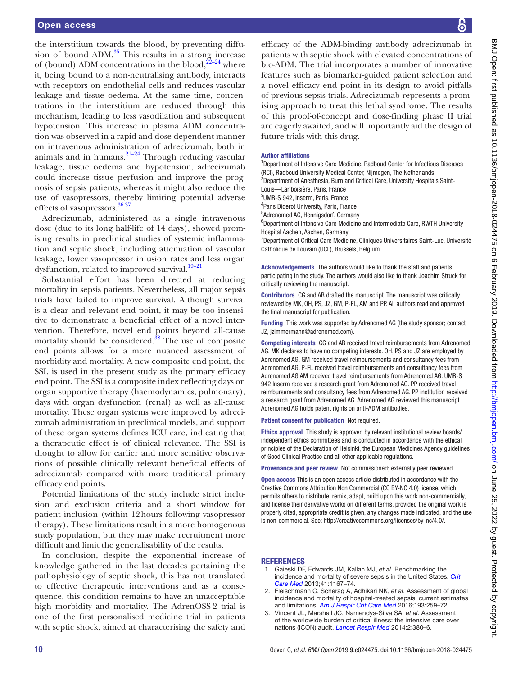the interstitium towards the blood, by preventing diffusion of bound  $ADM.<sup>35</sup>$  This results in a strong increase of (bound) ADM concentrations in the blood,  $2^{2-24}$  where it, being bound to a non-neutralising antibody, interacts with receptors on endothelial cells and reduces vascular leakage and tissue oedema. At the same time, concentrations in the interstitium are reduced through this mechanism, leading to less vasodilation and subsequent hypotension. This increase in plasma ADM concentration was observed in a rapid and dose-dependent manner on intravenous administration of adrecizumab, both in animals and in humans. $21-24$  Through reducing vascular leakage, tissue oedema and hypotension, adrecizumab could increase tissue perfusion and improve the prognosis of sepsis patients, whereas it might also reduce the use of vasopressors, thereby limiting potential adverse effects of vasopressors.<sup>[36 37](#page-10-19)</sup>

Adrecizumab, administered as a single intravenous dose (due to its long half-life of 14 days), showed promising results in preclinical studies of systemic inflammation and septic shock, including attenuation of vascular leakage, lower vasopressor infusion rates and less organ dysfunction, related to improved survival.<sup>19-21</sup>

Substantial effort has been directed at reducing mortality in sepsis patients. Nevertheless, all major sepsis trials have failed to improve survival. Although survival is a clear and relevant end point, it may be too insensitive to demonstrate a beneficial effect of a novel intervention. Therefore, novel end points beyond all-cause mortality should be considered. $38$  The use of composite end points allows for a more nuanced assessment of morbidity and mortality. A new composite end point, the SSI, is used in the present study as the primary efficacy end point. The SSI is a composite index reflecting days on organ supportive therapy (haemodynamics, pulmonary), days with organ dysfunction (renal) as well as all-cause mortality. These organ systems were improved by adrecizumab administration in preclinical models, and support of these organ systems defines ICU care, indicating that a therapeutic effect is of clinical relevance. The SSI is thought to allow for earlier and more sensitive observations of possible clinically relevant beneficial effects of adrecizumab compared with more traditional primary efficacy end points.

Potential limitations of the study include strict inclusion and exclusion criteria and a short window for patient inclusion (within 12hours following vasopressor therapy). These limitations result in a more homogenous study population, but they may make recruitment more difficult and limit the generalisability of the results.

In conclusion, despite the exponential increase of knowledge gathered in the last decades pertaining the pathophysiology of septic shock, this has not translated to effective therapeutic interventions and as a consequence, this condition remains to have an unacceptable high morbidity and mortality. The AdrenOSS-2 trial is one of the first personalised medicine trial in patients with septic shock, aimed at characterising the safety and

efficacy of the ADM-binding antibody adrecizumab in patients with septic shock with elevated concentrations of bio-ADM. The trial incorporates a number of innovative features such as biomarker-guided patient selection and a novel efficacy end point in its design to avoid pitfalls of previous sepsis trials. Adrecizumab represents a promising approach to treat this lethal syndrome. The results of this proof-of-concept and dose-finding phase II trial are eagerly awaited, and will importantly aid the design of future trials with this drug.

#### Author affiliations

<sup>1</sup>Department of Intensive Care Medicine, Radboud Center for Infectious Diseases (RCI), Radboud University Medical Center, Nijmegen, The Netherlands <sup>2</sup>Department of Anesthesia, Burn and Critical Care, University Hospitals Saint-Louis—Lariboisière, Paris, France 3 UMR-S 942, Inserm, Paris, France

4 Paris Diderot University, Paris, France

5 Adrenomed AG, Hennigsdorf, Germany

<sup>6</sup>Department of Intensive Care Medicine and Intermediate Care, RWTH University Hospital Aachen, Aachen, Germany

<sup>7</sup>Department of Critical Care Medicine, Cliniques Universitaires Saint-Luc, Université Catholique de Louvain (UCL), Brussels, Belgium

Acknowledgements The authors would like to thank the staff and patients participating in the study. The authors would also like to thank Joachim Struck for critically reviewing the manuscript.

Contributors CG and AB drafted the manuscript. The manuscript was critically reviewed by MK, OH, PS, JZ, GM, P-FL, AM and PP. All authors read and approved the final manuscript for publication.

Funding This work was supported by Adrenomed AG (the study sponsor; contact JZ, [jzimmermann@adrenomed.com\)](jzimmermann@adrenomed.com).

Competing interests CG and AB received travel reimbursements from Adrenomed AG. MK declares to have no competing interests. OH, PS and JZ are employed by Adrenomed AG. GM received travel reimbursements and consultancy fees from Adrenomed AG. P-FL received travel reimbursements and consultancy fees from Adrenomed AG AM received travel reimbursements from Adrenomed AG. UMR-S 942 Inserm received a research grant from Adrenomed AG. PP received travel reimbursements and consultancy fees from Adrenomed AG. PP institution received a research grant from Adrenomed AG. Adrenomed AG reviewed this manuscript. Adrenomed AG holds patent rights on anti-ADM antibodies.

Patient consent for publication Not required.

Ethics approval This study is approved by relevant institutional review boards/ independent ethics committees and is conducted in accordance with the ethical principles of the Declaration of Helsinki, the European Medicines Agency guidelines of Good Clinical Practice and all other applicable regulations.

Provenance and peer review Not commissioned; externally peer reviewed.

Open access This is an open access article distributed in accordance with the Creative Commons Attribution Non Commercial (CC BY-NC 4.0) license, which permits others to distribute, remix, adapt, build upon this work non-commercially, and license their derivative works on different terms, provided the original work is properly cited, appropriate credit is given, any changes made indicated, and the use is non-commercial. See: [http://creativecommons.org/licenses/by-nc/4.0/.](http://creativecommons.org/licenses/by-nc/4.0/)

#### **REFERENCES**

- <span id="page-9-0"></span>1. Gaieski DF, Edwards JM, Kallan MJ, *et al*. Benchmarking the incidence and mortality of severe sepsis in the United States. *[Crit](http://dx.doi.org/10.1097/CCM.0b013e31827c09f8)  [Care Med](http://dx.doi.org/10.1097/CCM.0b013e31827c09f8)* 2013;41:1167–74.
- <span id="page-9-1"></span>2. Fleischmann C, Scherag A, Adhikari NK, *et al*. Assessment of global incidence and mortality of hospital-treated sepsis. current estimates and limitations. *[Am J Respir Crit Care Med](http://dx.doi.org/10.1164/rccm.201504-0781OC)* 2016;193:259–72.
- 3. Vincent JL, Marshall JC, Namendys-Silva SA, *et al*. Assessment of the worldwide burden of critical illness: the intensive care over nations (ICON) audit. *[Lancet Respir Med](http://dx.doi.org/10.1016/S2213-2600(14)70061-X)* 2014;2:380–6.